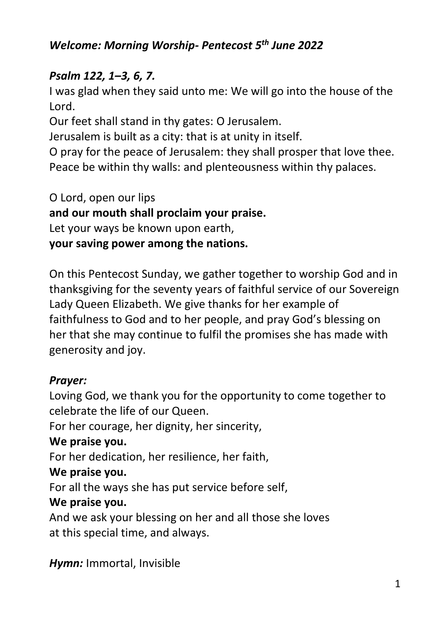### *Welcome: Morning Worship- Pentecost 5th June 2022*

#### *Psalm 122, 1–3, 6, 7.*

I was glad when they said unto me: We will go into the house of the Lord.

Our feet shall stand in thy gates: O Jerusalem.

Jerusalem is built as a city: that is at unity in itself.

O pray for the peace of Jerusalem: they shall prosper that love thee. Peace be within thy walls: and plenteousness within thy palaces.

O Lord, open our lips **and our mouth shall proclaim your praise.**  Let your ways be known upon earth, **your saving power among the nations.** 

On this Pentecost Sunday, we gather together to worship God and in thanksgiving for the seventy years of faithful service of our Sovereign Lady Queen Elizabeth. We give thanks for her example of faithfulness to God and to her people, and pray God's blessing on her that she may continue to fulfil the promises she has made with generosity and joy.

#### *Prayer:*

Loving God, we thank you for the opportunity to come together to celebrate the life of our Queen.

For her courage, her dignity, her sincerity,

#### **We praise you.**

For her dedication, her resilience, her faith,

#### **We praise you.**

For all the ways she has put service before self,

#### **We praise you.**

And we ask your blessing on her and all those she loves at this special time, and always.

*Hymn:* Immortal, Invisible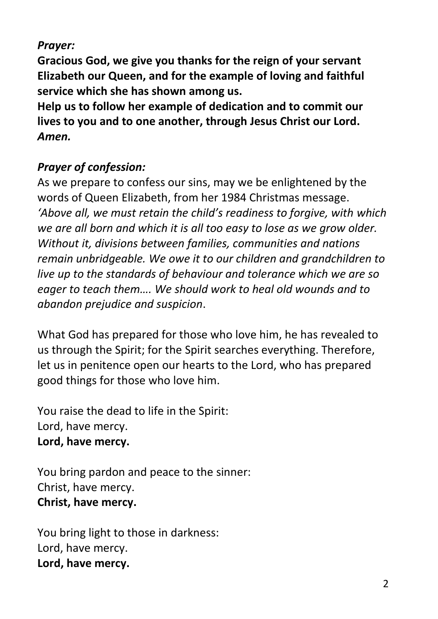### *Prayer:*

**Gracious God, we give you thanks for the reign of your servant Elizabeth our Queen, and for the example of loving and faithful service which she has shown among us.** 

**Help us to follow her example of dedication and to commit our lives to you and to one another, through Jesus Christ our Lord.**  *Amen.* 

### *Prayer of confession:*

As we prepare to confess our sins, may we be enlightened by the words of Queen Elizabeth, from her 1984 Christmas message. *'Above all, we must retain the child's readiness to forgive, with which we are all born and which it is all too easy to lose as we grow older. Without it, divisions between families, communities and nations remain unbridgeable. We owe it to our children and grandchildren to live up to the standards of behaviour and tolerance which we are so eager to teach them…. We should work to heal old wounds and to abandon prejudice and suspicion*.

What God has prepared for those who love him, he has revealed to us through the Spirit; for the Spirit searches everything. Therefore, let us in penitence open our hearts to the Lord, who has prepared good things for those who love him.

You raise the dead to life in the Spirit: Lord, have mercy. **Lord, have mercy.**

You bring pardon and peace to the sinner: Christ, have mercy. **Christ, have mercy.**

You bring light to those in darkness: Lord, have mercy. **Lord, have mercy.**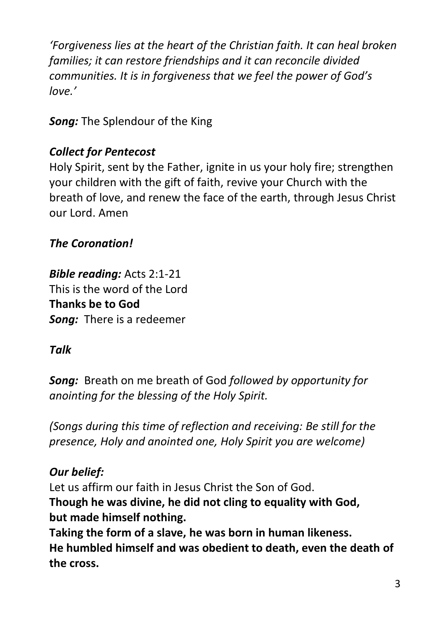*'Forgiveness lies at the heart of the Christian faith. It can heal broken families; it can restore friendships and it can reconcile divided communities. It is in forgiveness that we feel the power of God's love.'*

*Song:* The Splendour of the King

## *Collect for Pentecost*

Holy Spirit, sent by the Father, ignite in us your holy fire; strengthen your children with the gift of faith, revive your Church with the breath of love, and renew the face of the earth, through Jesus Christ our Lord. Amen

## *The Coronation!*

*Bible reading:* Acts 2:1-21 This is the word of the Lord **Thanks be to God** *Song:* There is a redeemer

## *Talk*

*Song:* Breath on me breath of God *followed by opportunity for anointing for the blessing of the Holy Spirit.*

*(Songs during this time of reflection and receiving: Be still for the presence, Holy and anointed one, Holy Spirit you are welcome)*

## *Our belief:*

Let us affirm our faith in Jesus Christ the Son of God. **Though he was divine, he did not cling to equality with God, but made himself nothing.**

**Taking the form of a slave, he was born in human likeness. He humbled himself and was obedient to death, even the death of the cross.**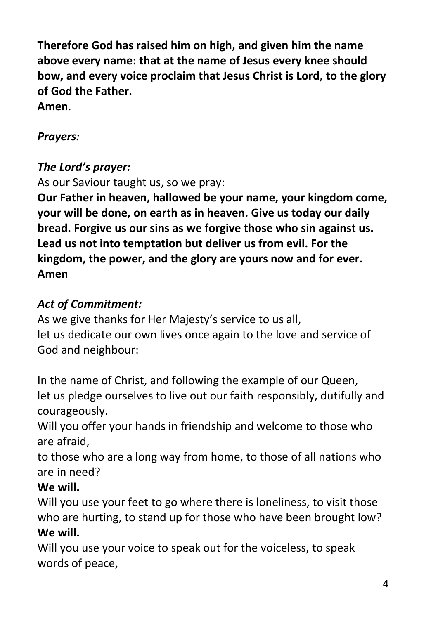**Therefore God has raised him on high, and given him the name above every name: that at the name of Jesus every knee should bow, and every voice proclaim that Jesus Christ is Lord, to the glory of God the Father.**

**Amen**.

## *Prayers:*

## *The Lord's prayer:*

As our Saviour taught us, so we pray:

**Our Father in heaven, hallowed be your name, your kingdom come, your will be done, on earth as in heaven. Give us today our daily bread. Forgive us our sins as we forgive those who sin against us. Lead us not into temptation but deliver us from evil. For the kingdom, the power, and the glory are yours now and for ever. Amen**

# *Act of Commitment:*

As we give thanks for Her Majesty's service to us all, let us dedicate our own lives once again to the love and service of God and neighbour:

In the name of Christ, and following the example of our Queen, let us pledge ourselves to live out our faith responsibly, dutifully and courageously.

Will you offer your hands in friendship and welcome to those who are afraid,

to those who are a long way from home, to those of all nations who are in need?

## **We will.**

Will you use your feet to go where there is loneliness, to visit those who are hurting, to stand up for those who have been brought low? **We will.**

Will you use your voice to speak out for the voiceless, to speak words of peace,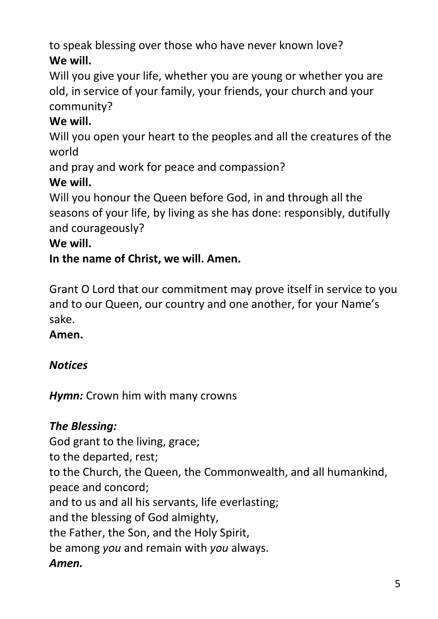to speak blessing over those who have never known love? **We will.**

Will you give your life, whether you are young or whether you are old, in service of your family, your friends, your church and your community?

# **We will.**

Will you open your heart to the peoples and all the creatures of the world

and pray and work for peace and compassion?

## **We will.**

Will you honour the Queen before God, in and through all the seasons of your life, by living as she has done: responsibly, dutifully and courageously?

## **We will.**

## **In the name of Christ, we will. Amen.**

Grant O Lord that our commitment may prove itself in service to you and to our Queen, our country and one another, for your Name's sake.

## **Amen.**

# *Notices*

*Hymn:* Crown him with many crowns

# *The Blessing:*

God grant to the living, grace;

to the departed, rest;

to the Church, the Queen, the Commonwealth, and all humankind, peace and concord;

and to us and all his servants, life everlasting;

and the blessing of God almighty,

the Father, the Son, and the Holy Spirit,

be among *you* and remain with *you* always.

## *Amen.*